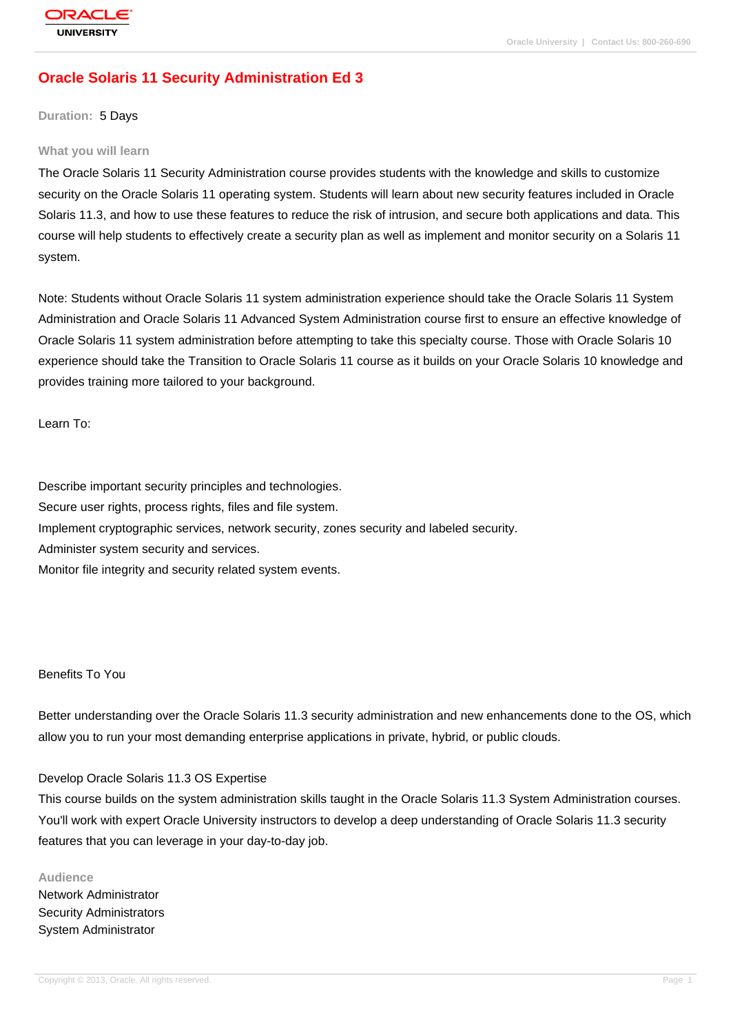# **[Oracle Solaris](http://education.oracle.com/pls/web_prod-plq-dad/db_pages.getpage?page_id=3) 11 Security Administration Ed 3**

#### **Duration:** 5 Days

#### **What you will learn**

The Oracle Solaris 11 Security Administration course provides students with the knowledge and skills to customize security on the Oracle Solaris 11 operating system. Students will learn about new security features included in Oracle Solaris 11.3, and how to use these features to reduce the risk of intrusion, and secure both applications and data. This course will help students to effectively create a security plan as well as implement and monitor security on a Solaris 11 system.

Note: Students without Oracle Solaris 11 system administration experience should take the Oracle Solaris 11 System Administration and Oracle Solaris 11 Advanced System Administration course first to ensure an effective knowledge of Oracle Solaris 11 system administration before attempting to take this specialty course. Those with Oracle Solaris 10 experience should take the Transition to Oracle Solaris 11 course as it builds on your Oracle Solaris 10 knowledge and provides training more tailored to your background.

Learn To:

Describe important security principles and technologies.

Secure user rights, process rights, files and file system.

Implement cryptographic services, network security, zones security and labeled security.

Administer system security and services.

Monitor file integrity and security related system events.

### Benefits To You

Better understanding over the Oracle Solaris 11.3 security administration and new enhancements done to the OS, which allow you to run your most demanding enterprise applications in private, hybrid, or public clouds.

#### Develop Oracle Solaris 11.3 OS Expertise

This course builds on the system administration skills taught in the Oracle Solaris 11.3 System Administration courses. You'll work with expert Oracle University instructors to develop a deep understanding of Oracle Solaris 11.3 security features that you can leverage in your day-to-day job.

**Audience** Network Administrator Security Administrators System Administrator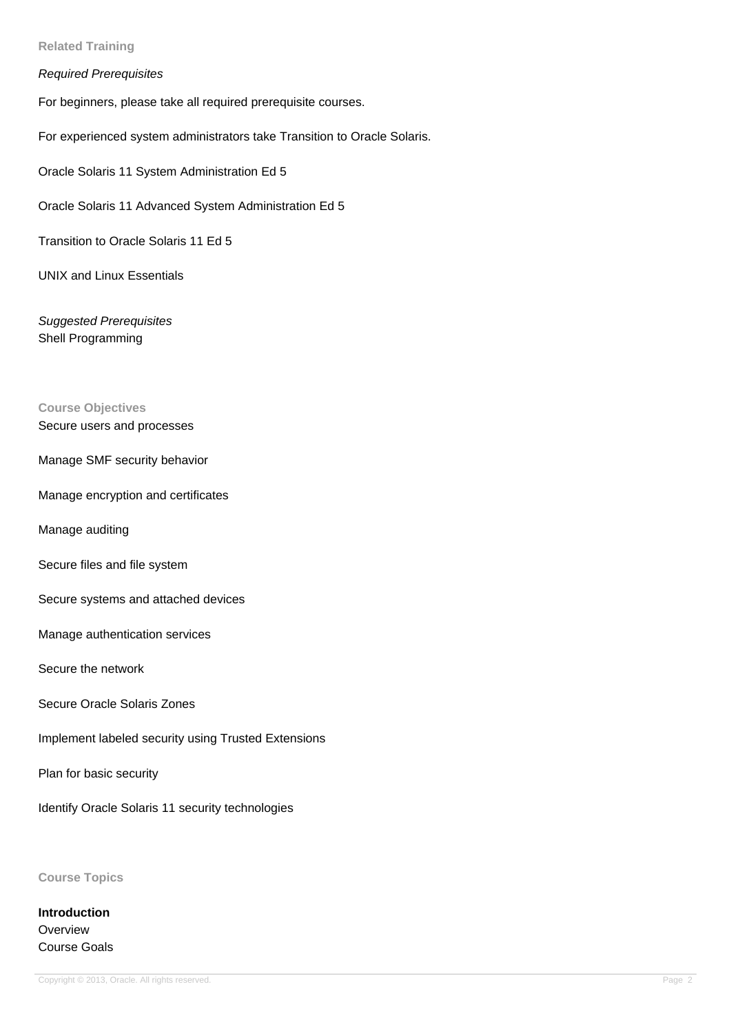#### **Related Training**

#### Required Prerequisites

For beginners, please take all required prerequisite courses.

For experienced system administrators take Transition to Oracle Solaris.

Oracle Solaris 11 System Administration Ed 5

Oracle Solaris 11 Advanced System Administration Ed 5

Transition to Oracle Solaris 11 Ed 5

UNIX and Linux Essentials

Suggested Prerequisites Shell Programming

# **Course Objectives**

### Secure users and processes

- Manage SMF security behavior
- Manage encryption and certificates
- Manage auditing
- Secure files and file system
- Secure systems and attached devices
- Manage authentication services
- Secure the network
- Secure Oracle Solaris Zones
- Implement labeled security using Trusted Extensions

Plan for basic security

Identify Oracle Solaris 11 security technologies

**Course Topics**

**Introduction Overview** Course Goals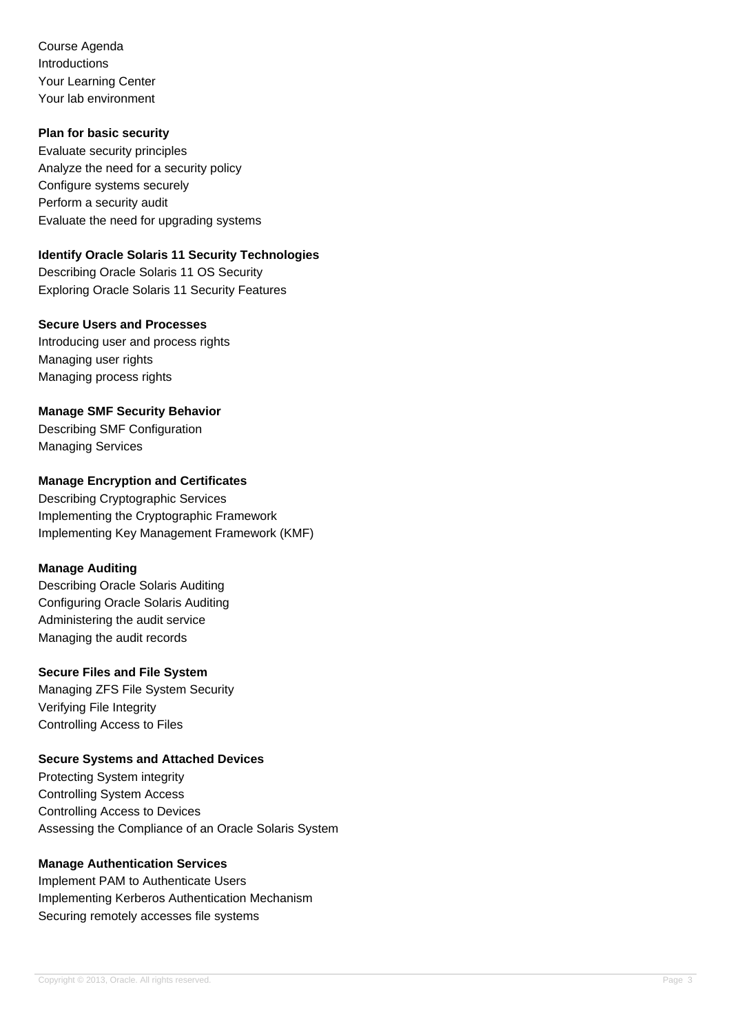Course Agenda Introductions Your Learning Center Your lab environment

### **Plan for basic security**

Evaluate security principles Analyze the need for a security policy Configure systems securely Perform a security audit Evaluate the need for upgrading systems

### **Identify Oracle Solaris 11 Security Technologies**

Describing Oracle Solaris 11 OS Security Exploring Oracle Solaris 11 Security Features

#### **Secure Users and Processes**

Introducing user and process rights Managing user rights Managing process rights

### **Manage SMF Security Behavior**

Describing SMF Configuration Managing Services

### **Manage Encryption and Certificates**

Describing Cryptographic Services Implementing the Cryptographic Framework Implementing Key Management Framework (KMF)

### **Manage Auditing**

Describing Oracle Solaris Auditing Configuring Oracle Solaris Auditing Administering the audit service Managing the audit records

### **Secure Files and File System**

Managing ZFS File System Security Verifying File Integrity Controlling Access to Files

### **Secure Systems and Attached Devices**

Protecting System integrity Controlling System Access Controlling Access to Devices Assessing the Compliance of an Oracle Solaris System

### **Manage Authentication Services**

Implement PAM to Authenticate Users Implementing Kerberos Authentication Mechanism Securing remotely accesses file systems